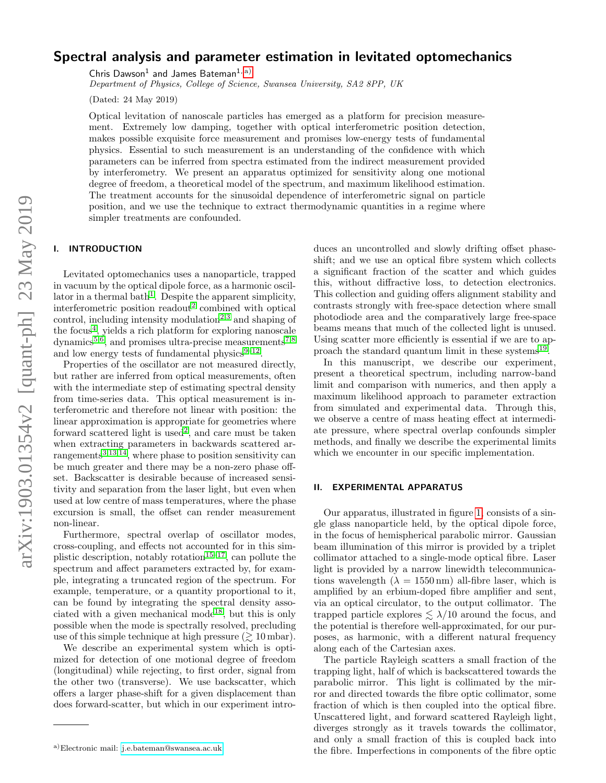# Spectral analysis and parameter estimation in levitated optomechanics

Chris Dawson<sup>1</sup> and James Bateman<sup>1, [a\)](#page-0-0)</sup>

Department of Physics, College of Science, Swansea University, SA2 8PP, UK

(Dated: 24 May 2019)

Optical levitation of nanoscale particles has emerged as a platform for precision measurement. Extremely low damping, together with optical interferometric position detection, makes possible exquisite force measurement and promises low-energy tests of fundamental physics. Essential to such measurement is an understanding of the confidence with which parameters can be inferred from spectra estimated from the indirect measurement provided by interferometry. We present an apparatus optimized for sensitivity along one motional degree of freedom, a theoretical model of the spectrum, and maximum likelihood estimation. The treatment accounts for the sinusoidal dependence of interferometric signal on particle position, and we use the technique to extract thermodynamic quantities in a regime where simpler treatments are confounded.

# I. INTRODUCTION

Levitated optomechanics uses a nanoparticle, trapped in vacuum by the optical dipole force, as a harmonic oscil-lator in a thermal bath<sup>[1](#page-7-0)</sup>. Despite the apparent simplicity, interferometric position readout<sup>[2](#page-7-1)</sup> combined with optical control, including intensity modulation<sup>[2](#page-7-1)[,3](#page-7-2)</sup> and shaping of the focus<sup>[4](#page-7-3)</sup>, yields a rich platform for exploring nanoscale dynamics<sup>[5,](#page-7-4)[6](#page-7-5)</sup>, and promises ultra-precise measurements<sup>[7,](#page-7-6)[8](#page-7-7)</sup> and low energy tests of fundamental physics $9-12$  $9-12$ .

Properties of the oscillator are not measured directly, but rather are inferred from optical measurements, often with the intermediate step of estimating spectral density from time-series data. This optical measurement is interferometric and therefore not linear with position: the linear approximation is appropriate for geometries where forward scattered light is used<sup>[2](#page-7-1)</sup>, and care must be taken when extracting parameters in backwards scattered arrangements $3,13,14$  $3,13,14$  $3,13,14$ , where phase to position sensitivity can be much greater and there may be a non-zero phase offset. Backscatter is desirable because of increased sensitivity and separation from the laser light, but even when used at low centre of mass temperatures, where the phase excursion is small, the offset can render measurement non-linear.

Furthermore, spectral overlap of oscillator modes, cross-coupling, and effects not accounted for in this sim-plistic description, notably rotation<sup>[15–](#page-7-12)[17](#page-7-13)</sup>, can pollute the spectrum and affect parameters extracted by, for example, integrating a truncated region of the spectrum. For example, temperature, or a quantity proportional to it, can be found by integrating the spectral density asso-ciated with a given mechanical mode<sup>[18](#page-7-14)</sup>, but this is only possible when the mode is spectrally resolved, precluding use of this simple technique at high pressure  $(\gtrsim 10 \text{ mbar}).$ 

We describe an experimental system which is optimized for detection of one motional degree of freedom (longitudinal) while rejecting, to first order, signal from the other two (transverse). We use backscatter, which offers a larger phase-shift for a given displacement than does forward-scatter, but which in our experiment introduces an uncontrolled and slowly drifting offset phaseshift; and we use an optical fibre system which collects a significant fraction of the scatter and which guides this, without diffractive loss, to detection electronics. This collection and guiding offers alignment stability and contrasts strongly with free-space detection where small photodiode area and the comparatively large free-space beams means that much of the collected light is unused. Using scatter more efficiently is essential if we are to ap-proach the standard quantum limit in these systems<sup>[19](#page-7-15)</sup>.

In this manuscript, we describe our experiment, present a theoretical spectrum, including narrow-band limit and comparison with numerics, and then apply a maximum likelihood approach to parameter extraction from simulated and experimental data. Through this, we observe a centre of mass heating effect at intermediate pressure, where spectral overlap confounds simpler methods, and finally we describe the experimental limits which we encounter in our specific implementation.

#### II. EXPERIMENTAL APPARATUS

Our apparatus, illustrated in figure [1,](#page-1-0) consists of a single glass nanoparticle held, by the optical dipole force, in the focus of hemispherical parabolic mirror. Gaussian beam illumination of this mirror is provided by a triplet collimator attached to a single-mode optical fibre. Laser light is provided by a narrow linewidth telecommunications wavelength  $(\lambda = 1550 \text{ nm})$  all-fibre laser, which is amplified by an erbium-doped fibre amplifier and sent, via an optical circulator, to the output collimator. The trapped particle explores  $\leq \lambda/10$  around the focus, and the potential is therefore well-approximated, for our purposes, as harmonic, with a different natural frequency along each of the Cartesian axes.

The particle Rayleigh scatters a small fraction of the trapping light, half of which is backscattered towards the parabolic mirror. This light is collimated by the mirror and directed towards the fibre optic collimator, some fraction of which is then coupled into the optical fibre. Unscattered light, and forward scattered Rayleigh light, diverges strongly as it travels towards the collimator, and only a small fraction of this is coupled back into the fibre. Imperfections in components of the fibre optic

<span id="page-0-0"></span>a)Electronic mail: [j.e.bateman@swansea.ac.uk](mailto:j.e.bateman@swansea.ac.uk)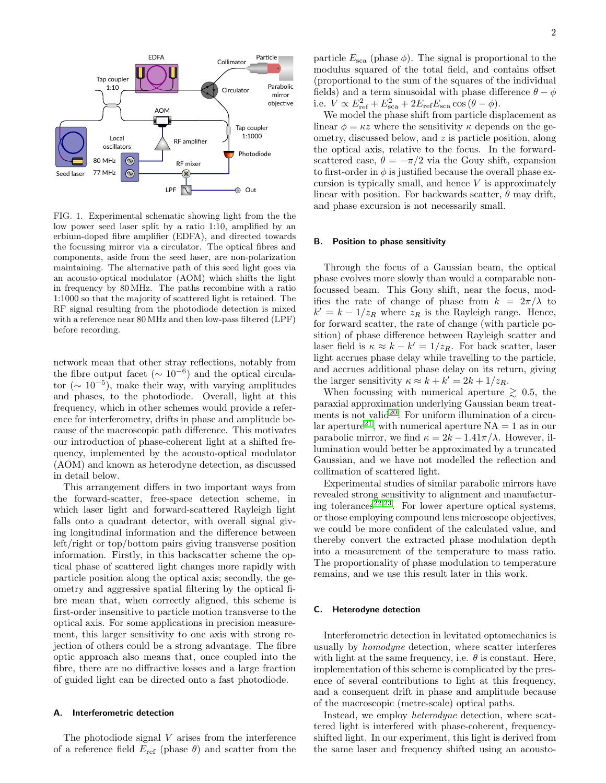

<span id="page-1-0"></span>FIG. 1. Experimental schematic showing light from the the low power seed laser split by a ratio 1:10, amplified by an erbium-doped fibre amplifier (EDFA), and directed towards the focussing mirror via a circulator. The optical fibres and components, aside from the seed laser, are non-polarization maintaining. The alternative path of this seed light goes via an acousto-optical modulator (AOM) which shifts the light in frequency by 80 MHz. The paths recombine with a ratio 1:1000 so that the majority of scattered light is retained. The RF signal resulting from the photodiode detection is mixed with a reference near 80 MHz and then low-pass filtered (LPF) before recording.

network mean that other stray reflections, notably from the fibre output facet ( $\sim 10^{-6}$ ) and the optical circulator ( $\sim 10^{-5}$ ), make their way, with varying amplitudes and phases, to the photodiode. Overall, light at this frequency, which in other schemes would provide a reference for interferometry, drifts in phase and amplitude because of the macroscopic path difference. This motivates our introduction of phase-coherent light at a shifted frequency, implemented by the acousto-optical modulator (AOM) and known as heterodyne detection, as discussed in detail below.

This arrangement differs in two important ways from the forward-scatter, free-space detection scheme, in which laser light and forward-scattered Rayleigh light falls onto a quadrant detector, with overall signal giving longitudinal information and the difference between left/right or top/bottom pairs giving transverse position information. Firstly, in this backscatter scheme the optical phase of scattered light changes more rapidly with particle position along the optical axis; secondly, the geometry and aggressive spatial filtering by the optical fibre mean that, when correctly aligned, this scheme is first-order insensitive to particle motion transverse to the optical axis. For some applications in precision measurement, this larger sensitivity to one axis with strong rejection of others could be a strong advantage. The fibre optic approach also means that, once coupled into the fibre, there are no diffractive losses and a large fraction of guided light can be directed onto a fast photodiode.

# A. Interferometric detection

particle  $E_{\text{sca}}$  (phase  $\phi$ ). The signal is proportional to the modulus squared of the total field, and contains offset (proportional to the sum of the squares of the individual fields) and a term sinusoidal with phase difference  $\theta - \phi$ i.e.  $V \propto E_{\text{ref}}^2 + E_{\text{sca}}^2 + 2E_{\text{ref}}E_{\text{sca}}\cos{(\theta - \phi)}$ .

We model the phase shift from particle displacement as linear  $\phi = \kappa z$  where the sensitivity  $\kappa$  depends on the geometry, discussed below, and z is particle position, along the optical axis, relative to the focus. In the forwardscattered case,  $\theta = -\pi/2$  via the Gouy shift, expansion to first-order in  $\phi$  is justified because the overall phase excursion is typically small, and hence  $V$  is approximately linear with position. For backwards scatter,  $\theta$  may drift, and phase excursion is not necessarily small.

#### <span id="page-1-1"></span>B. Position to phase sensitivity

Through the focus of a Gaussian beam, the optical phase evolves more slowly than would a comparable nonfocussed beam. This Gouy shift, near the focus, modifies the rate of change of phase from  $k = 2\pi/\lambda$  to  $k' = k - 1/z_R$  where  $z_R$  is the Rayleigh range. Hence, for forward scatter, the rate of change (with particle position) of phase difference between Rayleigh scatter and laser field is  $\kappa \approx k - k' = 1/z_R$ . For back scatter, laser light accrues phase delay while travelling to the particle, and accrues additional phase delay on its return, giving the larger sensitivity  $\kappa \approx k + k' = 2k + 1/z_R$ .

When focussing with numerical aperture  $\geq 0.5$ , the paraxial approximation underlying Gaussian beam treat-ments is not valid<sup>[20](#page-7-16)</sup>. For uniform illumination of a circu-lar aperture<sup>[21](#page-7-17)</sup>, with numerical aperture  $NA = 1$  as in our parabolic mirror, we find  $\kappa = 2k - 1.41\pi/\lambda$ . However, illumination would better be approximated by a truncated Gaussian, and we have not modelled the reflection and collimation of scattered light.

Experimental studies of similar parabolic mirrors have revealed strong sensitivity to alignment and manufactur-ing tolerances<sup>[22,](#page-7-18)[23](#page-7-19)</sup>. For lower aperture optical systems, or those employing compound lens microscope objectives, we could be more confident of the calculated value, and thereby convert the extracted phase modulation depth into a measurement of the temperature to mass ratio. The proportionality of phase modulation to temperature remains, and we use this result later in this work.

#### C. Heterodyne detection

Interferometric detection in levitated optomechanics is usually by homodyne detection, where scatter interferes with light at the same frequency, i.e.  $\theta$  is constant. Here, implementation of this scheme is complicated by the presence of several contributions to light at this frequency, and a consequent drift in phase and amplitude because of the macroscopic (metre-scale) optical paths.

Instead, we employ heterodyne detection, where scattered light is interfered with phase-coherent, frequencyshifted light. In our experiment, this light is derived from the same laser and frequency shifted using an acousto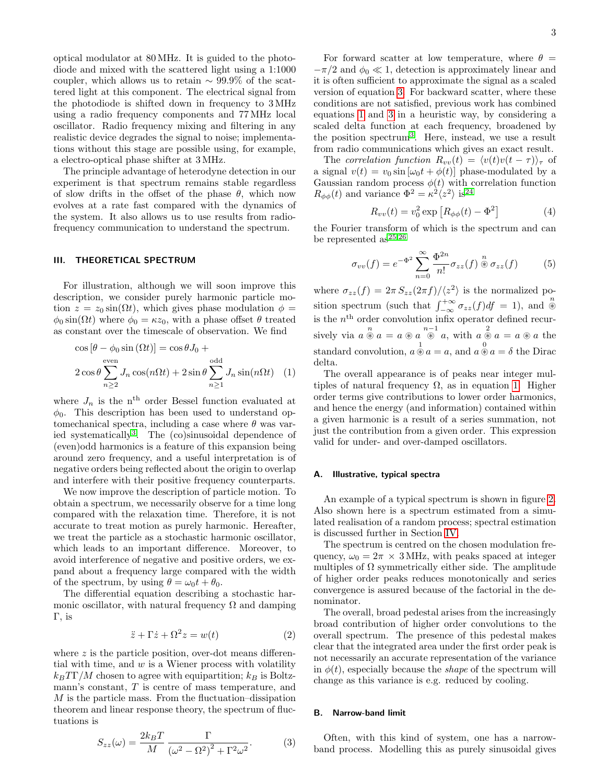optical modulator at 80 MHz. It is guided to the photodiode and mixed with the scattered light using a 1:1000 coupler, which allows us to retain  $\sim 99.9\%$  of the scattered light at this component. The electrical signal from the photodiode is shifted down in frequency to 3 MHz using a radio frequency components and 77 MHz local oscillator. Radio frequency mixing and filtering in any realistic device degrades the signal to noise; implementations without this stage are possible using, for example, a electro-optical phase shifter at 3 MHz.

The principle advantage of heterodyne detection in our experiment is that spectrum remains stable regardless of slow drifts in the offset of the phase  $\theta$ , which now evolves at a rate fast compared with the dynamics of the system. It also allows us to use results from radiofrequency communication to understand the spectrum.

# III. THEORETICAL SPECTRUM

For illustration, although we will soon improve this description, we consider purely harmonic particle motion  $z = z_0 \sin(\Omega t)$ , which gives phase modulation  $\phi =$  $\phi_0 \sin(\Omega t)$  where  $\phi_0 = \kappa z_0$ , with a phase offset  $\theta$  treated as constant over the timescale of observation. We find

<span id="page-2-1"></span>
$$
\cos\left[\theta - \phi_0 \sin\left(\Omega t\right)\right] = \cos\theta J_0 +
$$
  
2 cos  $\theta \sum_{n\geq 2} J_n \cos(n\Omega t) + 2 \sin\theta \sum_{n\geq 1} J_n \sin(n\Omega t)$  (1)

where  $J_n$  is the n<sup>th</sup> order Bessel function evaluated at  $\phi_0$ . This description has been used to understand optomechanical spectra, including a case where  $\theta$  was varied systematically[3](#page-7-2) . The (co)sinusoidal dependence of (even)odd harmonics is a feature of this expansion being around zero frequency, and a useful interpretation is of negative orders being reflected about the origin to overlap and interfere with their positive frequency counterparts.

We now improve the description of particle motion. To obtain a spectrum, we necessarily observe for a time long compared with the relaxation time. Therefore, it is not accurate to treat motion as purely harmonic. Hereafter, we treat the particle as a stochastic harmonic oscillator, which leads to an important difference. Moreover, to avoid interference of negative and positive orders, we expand about a frequency large compared with the width of the spectrum, by using  $\theta = \omega_0 t + \theta_0$ .

The differential equation describing a stochastic harmonic oscillator, with natural frequency  $\Omega$  and damping Γ, is

$$
\ddot{z} + \Gamma \dot{z} + \Omega^2 z = w(t) \tag{2}
$$

<span id="page-2-0"></span>where  $z$  is the particle position, over-dot means differential with time, and  $w$  is a Wiener process with volatility  $k_BT\Gamma/M$  chosen to agree with equipartition;  $k_B$  is Boltzmann's constant, T is centre of mass temperature, and M is the particle mass. From the fluctuation–dissipation theorem and linear response theory, the spectrum of fluctuations is

For forward scatter at low temperature, where  $\theta =$  $-\pi/2$  and  $\phi_0 \ll 1$ , detection is approximately linear and it is often sufficient to approximate the signal as a scaled version of equation [3.](#page-2-0) For backward scatter, where these conditions are not satisfied, previous work has combined equations [1](#page-2-1) and [3](#page-2-0) in a heuristic way, by considering a scaled delta function at each frequency, broadened by the position spectrum[3](#page-7-2) . Here, instead, we use a result from radio communications which gives an exact result.

The correlation function  $R_{vv}(t) = \langle v(t)v(t - \tau) \rangle_{\tau}$  of a signal  $v(t) = v_0 \sin [\omega_0 t + \phi(t)]$  phase-modulated by a Gaussian random process  $\phi(t)$  with correlation function  $R_{\phi\phi}(t)$  and variance  $\Phi^2 = \kappa^2 \langle z^2 \rangle$  is  $2^4$ 

<span id="page-2-2"></span>
$$
R_{vv}(t) = v_0^2 \exp\left[R_{\phi\phi}(t) - \Phi^2\right]
$$
 (4)

the Fourier transform of which is the spectrum and can be represented as  $25,26$  $25,26$ 

<span id="page-2-3"></span>
$$
\sigma_{vv}(f) = e^{-\Phi^2} \sum_{n=0}^{\infty} \frac{\Phi^{2n}}{n!} \sigma_{zz}(f) \stackrel{n}{\otimes} \sigma_{zz}(f) \tag{5}
$$

where  $\sigma_{zz}(f) = 2\pi S_{zz}(2\pi f)/\langle z^2 \rangle$  is the normalized position spectrum (such that  $\int_{-\infty}^{+\infty} \sigma_{zz}(f) df = 1$ ), and  $\stackrel{n}{\circledast}$ is the  $n<sup>th</sup>$  order convolution infix operator defined recursively via  $a \circledast a = a \circledast a \circledast a$ , with  $a \circledast a = a \circledast a$  the standard convolution,  $a \overset{1}{\otimes} a = a$ , and  $a \overset{0}{\otimes} a = \delta$  the Dirac delta.

The overall appearance is of peaks near integer multiples of natural frequency  $\Omega$ , as in equation [1.](#page-2-1) Higher order terms give contributions to lower order harmonics, and hence the energy (and information) contained within a given harmonic is a result of a series summation, not just the contribution from a given order. This expression valid for under- and over-damped oscillators.

#### A. Illustrative, typical spectra

An example of a typical spectrum is shown in figure [2.](#page-3-0) Also shown here is a spectrum estimated from a simulated realisation of a random process; spectral estimation is discussed further in Section [IV.](#page-3-1)

The spectrum is centred on the chosen modulation frequency,  $\omega_0 = 2\pi \times 3$  MHz, with peaks spaced at integer multiples of  $\Omega$  symmetrically either side. The amplitude of higher order peaks reduces monotonically and series convergence is assured because of the factorial in the denominator.

The overall, broad pedestal arises from the increasingly broad contribution of higher order convolutions to the overall spectrum. The presence of this pedestal makes clear that the integrated area under the first order peak is not necessarily an accurate representation of the variance in  $\phi(t)$ , especially because the *shape* of the spectrum will change as this variance is e.g. reduced by cooling.

# B. Narrow-band limit

Often, with this kind of system, one has a narrowband process. Modelling this as purely sinusoidal gives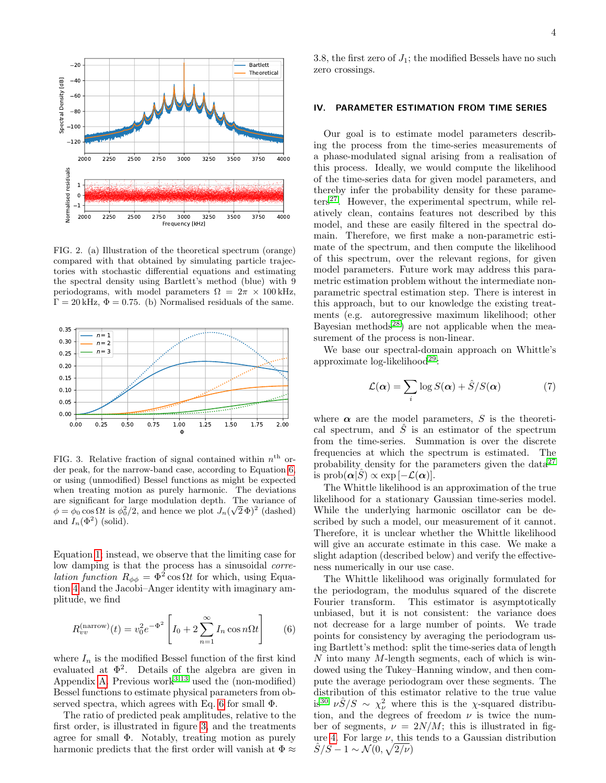

<span id="page-3-0"></span>FIG. 2. (a) Illustration of the theoretical spectrum (orange) compared with that obtained by simulating particle trajectories with stochastic differential equations and estimating the spectral density using Bartlett's method (blue) with 9 periodograms, with model parameters  $\Omega = 2\pi \times 100$  kHz,  $\Gamma = 20 \text{ kHz}, \Phi = 0.75.$  (b) Normalised residuals of the same.



<span id="page-3-3"></span>FIG. 3. Relative fraction of signal contained within  $n<sup>th</sup>$  order peak, for the narrow-band case, according to Equation [6,](#page-3-2) or using (unmodified) Bessel functions as might be expected when treating motion as purely harmonic. The deviations are significant for large modulation depth. The variance of  $\phi = \phi_0 \cos \Omega t$  is  $\phi_0^2/2$ , and hence we plot  $J_n(\sqrt{2} \Phi)^2$  (dashed) and  $I_n(\Phi^2)$  (solid).

Equation [1;](#page-2-1) instead, we observe that the limiting case for low damping is that the process has a sinusoidal corre*lation function*  $R_{\phi\phi} = \Phi^2 \cos \Omega t$  for which, using Equation [4](#page-2-2) and the Jacobi–Anger identity with imaginary amplitude, we find

<span id="page-3-2"></span>
$$
R_{vv}^{\text{(narrow)}}(t) = v_0^2 e^{-\Phi^2} \left[ I_0 + 2 \sum_{n=1}^{\infty} I_n \cos n\Omega t \right]
$$
 (6)

where  $I_n$  is the modified Bessel function of the first kind evaluated at  $\Phi^2$ . Details of the algebra are given in Appendix [A.](#page-7-23) Previous work<sup>[3](#page-7-2)[,13](#page-7-10)</sup> used the (non-modified) Bessel functions to estimate physical parameters from ob-served spectra, which agrees with Eq. [6](#page-3-2) for small  $\Phi$ .

The ratio of predicted peak amplitudes, relative to the first order, is illustrated in figure [3,](#page-3-3) and the treatments agree for small Φ. Notably, treating motion as purely harmonic predicts that the first order will vanish at  $\Phi \approx$  3.8, the first zero of  $J_1$ ; the modified Bessels have no such zero crossings.

# <span id="page-3-1"></span>IV. PARAMETER ESTIMATION FROM TIME SERIES

Our goal is to estimate model parameters describing the process from the time-series measurements of a phase-modulated signal arising from a realisation of this process. Ideally, we would compute the likelihood of the time-series data for given model parameters, and thereby infer the probability density for these parame- $ters<sup>27</sup>$  $ters<sup>27</sup>$  $ters<sup>27</sup>$ . However, the experimental spectrum, while relatively clean, contains features not described by this model, and these are easily filtered in the spectral domain. Therefore, we first make a non-parametric estimate of the spectrum, and then compute the likelihood of this spectrum, over the relevant regions, for given model parameters. Future work may address this parametric estimation problem without the intermediate nonparametric spectral estimation step. There is interest in this approach, but to our knowledge the existing treatments (e.g. autoregressive maximum likelihood; other Bayesian methods<sup>[28](#page-7-25)</sup>) are not applicable when the measurement of the process is non-linear.

We base our spectral-domain approach on Whittle's approximate  $log$ -likelihood<sup>[29](#page-7-26)</sup>:

$$
\mathcal{L}(\alpha) = \sum_{i} \log S(\alpha) + \hat{S}/S(\alpha) \tag{7}
$$

where  $\alpha$  are the model parameters, S is the theoretical spectrum, and  $\hat{S}$  is an estimator of the spectrum from the time-series. Summation is over the discrete frequencies at which the spectrum is estimated. The probability density for the parameters given the data $^{27}$  $^{27}$  $^{27}$ is  $prob(\alpha|\hat{S}) \propto exp[-\mathcal{L}(\alpha)].$ 

The Whittle likelihood is an approximation of the true likelihood for a stationary Gaussian time-series model. While the underlying harmonic oscillator can be described by such a model, our measurement of it cannot. Therefore, it is unclear whether the Whittle likelihood will give an accurate estimate in this case. We make a slight adaption (described below) and verify the effectiveness numerically in our use case.

The Whittle likelihood was originally formulated for the periodogram, the modulus squared of the discrete Fourier transform. This estimator is asymptotically unbiased, but it is not consistent: the variance does not decrease for a large number of points. We trade points for consistency by averaging the periodogram using Bartlett's method: split the time-series data of length  $N$  into many  $M$ -length segments, each of which is windowed using the Tukey–Hanning window, and then compute the average periodogram over these segments. The distribution of this estimator relative to the true value is<sup>[30](#page-7-27)</sup>  $\nu \hat{S}/S \sim \chi^2_{\nu}$  where this is the  $\chi$ -squared distribution, and the degrees of freedom  $\nu$  is twice the number of segments,  $\nu = 2N/M$ ; this is illustrated in fig-ure [4.](#page-4-0) For large  $\nu$ , this tends to a Gaussian distribution  $\hat{S}/S - 1 \sim \mathcal{N}(0, \sqrt{2/\nu})$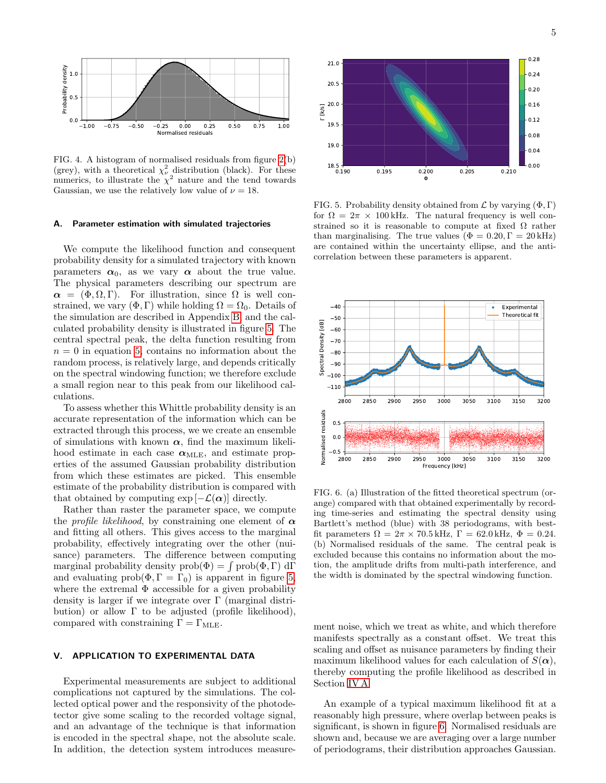

Normalised residuals

<span id="page-4-0"></span>FIG. 4. A histogram of normalised residuals from figure [2\(](#page-3-0)b) (grey), with a theoretical  $\chi^2_{\nu}$  distribution (black). For these numerics, to illustrate the  $\chi^2$  nature and the tend towards Gaussian, we use the relatively low value of  $\nu = 18$ .

#### <span id="page-4-2"></span>A. Parameter estimation with simulated trajectories

Probability density

We compute the likelihood function and consequent probability density for a simulated trajectory with known parameters  $\alpha_0$ , as we vary  $\alpha$  about the true value. The physical parameters describing our spectrum are  $\alpha = (\Phi, \Omega, \Gamma)$ . For illustration, since  $\Omega$  is well constrained, we vary  $(\Phi, \Gamma)$  while holding  $\Omega = \Omega_0$ . Details of the simulation are described in Appendix [B,](#page-8-0) and the calculated probability density is illustrated in figure [5.](#page-4-1) The central spectral peak, the delta function resulting from  $n = 0$  in equation [5,](#page-2-3) contains no information about the random process, is relatively large, and depends critically on the spectral windowing function; we therefore exclude a small region near to this peak from our likelihood calculations.

To assess whether this Whittle probability density is an accurate representation of the information which can be extracted through this process, we we create an ensemble of simulations with known  $\alpha$ , find the maximum likelihood estimate in each case  $\alpha_{MLE}$ , and estimate properties of the assumed Gaussian probability distribution from which these estimates are picked. This ensemble estimate of the probability distribution is compared with that obtained by computing  $\exp[-\mathcal{L}(\alpha)]$  directly.

Rather than raster the parameter space, we compute the *profile likelihood*, by constraining one element of  $\alpha$ and fitting all others. This gives access to the marginal probability, effectively integrating over the other (nuisance) parameters. The difference between computing marginal probability density  $prob(\Phi) = \int prob(\Phi, \Gamma) d\Gamma$ and evaluating prob( $\Phi, \Gamma = \Gamma_0$ ) is apparent in figure [5,](#page-4-1) where the extremal  $\Phi$  accessible for a given probability density is larger if we integrate over Γ (marginal distribution) or allow  $\Gamma$  to be adjusted (profile likelihood), compared with constraining  $\Gamma = \Gamma_{\rm MLE}$ .

# V. APPLICATION TO EXPERIMENTAL DATA

Experimental measurements are subject to additional complications not captured by the simulations. The collected optical power and the responsivity of the photodetector give some scaling to the recorded voltage signal, and an advantage of the technique is that information is encoded in the spectral shape, not the absolute scale.



<span id="page-4-1"></span>FIG. 5. Probability density obtained from  $\mathcal L$  by varying  $(\Phi, \Gamma)$ for  $\Omega = 2\pi \times 100$  kHz. The natural frequency is well constrained so it is reasonable to compute at fixed  $\Omega$  rather than marginalising. The true values ( $\Phi = 0.20$ ,  $\Gamma = 20$  kHz) are contained within the uncertainty ellipse, and the anticorrelation between these parameters is apparent.



<span id="page-4-3"></span>FIG. 6. (a) Illustration of the fitted theoretical spectrum (orange) compared with that obtained experimentally by recording time-series and estimating the spectral density using Bartlett's method (blue) with 38 periodograms, with bestfit parameters  $\Omega = 2\pi \times 70.5$  kHz,  $\Gamma = 62.0$  kHz,  $\Phi = 0.24$ . (b) Normalised residuals of the same. The central peak is excluded because this contains no information about the motion, the amplitude drifts from multi-path interference, and the width is dominated by the spectral windowing function.

ment noise, which we treat as white, and which therefore manifests spectrally as a constant offset. We treat this scaling and offset as nuisance parameters by finding their maximum likelihood values for each calculation of  $S(\boldsymbol{\alpha})$ , thereby computing the profile likelihood as described in Section [IV A.](#page-4-2)

An example of a typical maximum likelihood fit at a reasonably high pressure, where overlap between peaks is significant, is shown in figure [6.](#page-4-3) Normalised residuals are shown and, because we are averaging over a large number of periodograms, their distribution approaches Gaussian.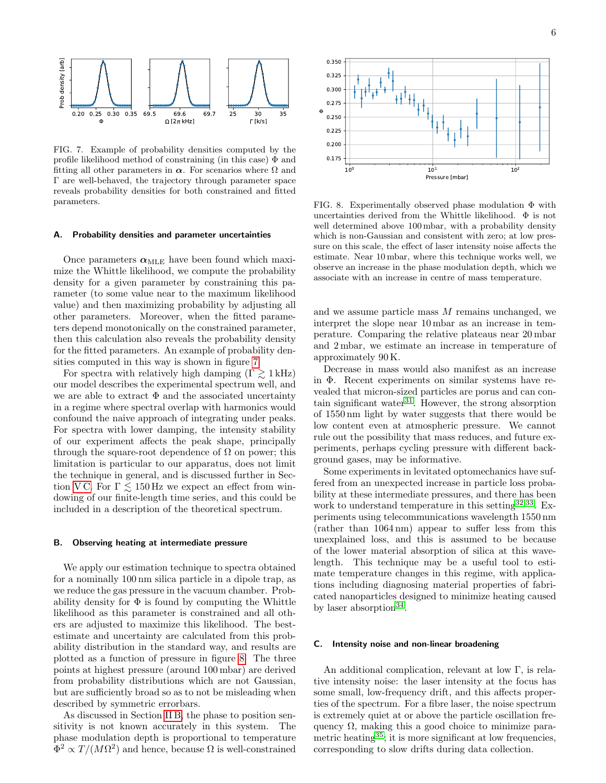

<span id="page-5-0"></span>FIG. 7. Example of probability densities computed by the profile likelihood method of constraining (in this case) Φ and fitting all other parameters in  $\alpha$ . For scenarios where  $\Omega$  and Γ are well-behaved, the trajectory through parameter space reveals probability densities for both constrained and fitted parameters.

#### A. Probability densities and parameter uncertainties

Once parameters  $\alpha_{MLE}$  have been found which maximize the Whittle likelihood, we compute the probability density for a given parameter by constraining this parameter (to some value near to the maximum likelihood value) and then maximizing probability by adjusting all other parameters. Moreover, when the fitted parameters depend monotonically on the constrained parameter, then this calculation also reveals the probability density for the fitted parameters. An example of probability densities computed in this way is shown in figure [7.](#page-5-0)

For spectra with relatively high damping  $(\Gamma \gtrsim 1 \text{ kHz})$ our model describes the experimental spectrum well, and we are able to extract  $\Phi$  and the associated uncertainty in a regime where spectral overlap with harmonics would confound the naive approach of integrating under peaks. For spectra with lower damping, the intensity stability of our experiment affects the peak shape, principally through the square-root dependence of  $\Omega$  on power; this limitation is particular to our apparatus, does not limit the technique in general, and is discussed further in Section VC. For  $\Gamma \lesssim 150$  Hz we expect an effect from windowing of our finite-length time series, and this could be included in a description of the theoretical spectrum. parameters in  $\alpha$ . for secenaris where it and the parameter space in the respective densities and parameter space used the<br>restriction of the mission and fitted parameter space well, the trajectory through parameter spa

### B. Observing heating at intermediate pressure

We apply our estimation technique to spectra obtained for a nominally 100 nm silica particle in a dipole trap, as we reduce the gas pressure in the vacuum chamber. Probability density for  $\Phi$  is found by computing the Whittle likelihood as this parameter is constrained and all others are adjusted to maximize this likelihood. The bestestimate and uncertainty are calculated from this probability distribution in the standard way, and results are plotted as a function of pressure in figure [8.](#page-5-2) The three points at highest pressure (around 100 mbar) are derived from probability distributions which are not Gaussian, but are sufficiently broad so as to not be misleading when described by symmetric errorbars.

As discussed in Section [II B,](#page-1-1) the phase to position sensitivity is not known accurately in this system. The phase modulation depth is proportional to temperature  $\Phi^2 \propto T/(M \Omega^2)$ 



<span id="page-5-2"></span>FIG. 8. Experimentally observed phase modulation  $\Phi$  with uncertainties derived from the Whittle likelihood. Φ is not well determined above 100 mbar, with a probability density which is non-Gaussian and consistent with zero; at low pressure on this scale, the effect of laser intensity noise affects the estimate. Near 10 mbar, where this technique works well, we observe an increase in the phase modulation depth, which we associate with an increase in centre of mass temperature.

and we assume particle mass M remains unchanged, we interpret the slope near 10 mbar as an increase in temperature. Comparing the relative plateaus near 20 mbar and 2 mbar, we estimate an increase in temperature of approximately 90 K.

Decrease in mass would also manifest as an increase in Φ. Recent experiments on similar systems have revealed that micron-sized particles are porus and can contain significant water $31$ . However, the strong absorption of 1550 nm light by water suggests that there would be low content even at atmospheric pressure. We cannot rule out the possibility that mass reduces, and future experiments, perhaps cycling pressure with different background gases, may be informative.

Some experiments in levitated optomechanics have suffered from an unexpected increase in particle loss probability at these intermediate pressures, and there has been work to understand temperature in this setting <sup>[32](#page-7-29), 33</sup>. Experiments using telecommunications wavelength 1550 nm (rather than 1064 nm) appear to suffer less from this unexplained loss, and this is assumed to be because of the lower material absorption of silica at this wavelength. This technique may be a useful tool to estimate temperature changes in this regime, with applications including diagnosing material properties of fabricated nanoparticles designed to minimize heating caused by laser absorption<sup>[34](#page-7-31)</sup>.

#### <span id="page-5-1"></span>C. Intensity noise and non-linear broadening

An additional complication, relevant at low Γ, is relative intensity noise: the laser intensity at the focus has some small, low-frequency drift, and this affects properties of the spectrum. For a fibre laser, the noise spectrum is extremely quiet at or above the particle oscillation frequency  $\Omega$ , making this a good choice to minimize para-metric heating<sup>[35](#page-7-32)</sup>; it is more significant at low frequencies, corresponding to slow drifts during data collection.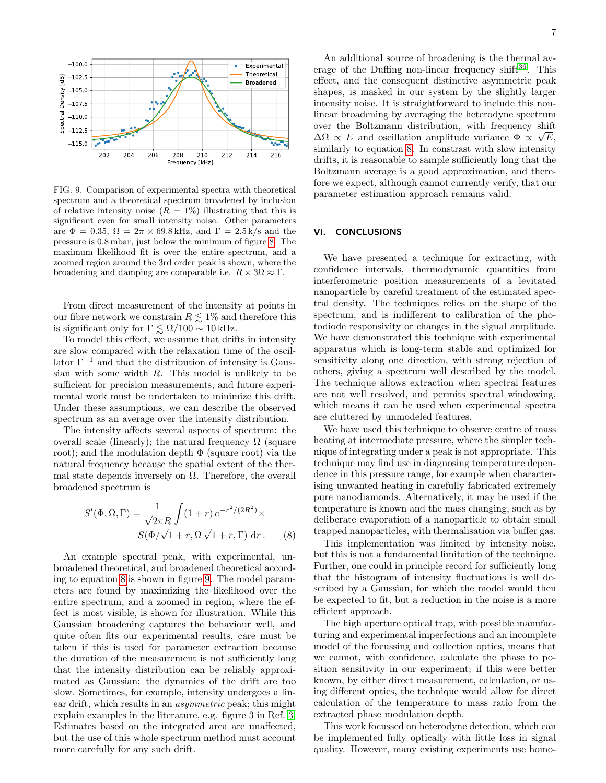

<span id="page-6-1"></span>FIG. 9. Comparison of experimental spectra with theoretical spectrum and a theoretical spectrum broadened by inclusion of relative intensity noise  $(R = 1\%)$  illustrating that this is significant even for small intensity noise. Other parameters are  $\Phi = 0.35$ ,  $\Omega = 2\pi \times 69.8$  kHz, and  $\Gamma = 2.5$  k/s and the pressure is 0.8 mbar, just below the minimum of figure [8.](#page-5-2) The maximum likelihood fit is over the entire spectrum, and a zoomed region around the 3rd order peak is shown, where the broadening and damping are comparable i.e.  $R \times 3\Omega \approx \Gamma$ .

From direct measurement of the intensity at points in our fibre network we constrain  $R \lesssim 1\%$  and therefore this is significant only for  $\Gamma \lesssim \Omega/100 \sim 10\,\text{kHz}.$ 

To model this effect, we assume that drifts in intensity are slow compared with the relaxation time of the oscillator  $\Gamma^{-1}$  and that the distribution of intensity is Gaussian with some width  $R$ . This model is unlikely to be sufficient for precision measurements, and future experimental work must be undertaken to minimize this drift. Under these assumptions, we can describe the observed spectrum as an average over the intensity distribution.

The intensity affects several aspects of spectrum: the overall scale (linearly); the natural frequency  $\Omega$  (square root); and the modulation depth  $\Phi$  (square root) via the natural frequency because the spatial extent of the thermal state depends inversely on  $\Omega$ . Therefore, the overall broadened spectrum is

$$
S'(\Phi, \Omega, \Gamma) = \frac{1}{\sqrt{2\pi}R} \int (1+r) e^{-r^2/(2R^2)} \times
$$
  

$$
S(\Phi/\sqrt{1+r}, \Omega \sqrt{1+r}, \Gamma) dr.
$$
 (8)

An example spectral peak, with experimental, unbroadened theoretical, and broadened theoretical according to equation [8](#page-6-0) is shown in figure [9.](#page-6-1) The model parameters are found by maximizing the likelihood over the entire spectrum, and a zoomed in region, where the effect is most visible, is shown for illustration. While this Gaussian broadening captures the behaviour well, and quite often fits our experimental results, care must be taken if this is used for parameter extraction because the duration of the measurement is not sufficiently long that the intensity distribution can be reliably approximated as Gaussian; the dynamics of the drift are too slow. Sometimes, for example, intensity undergoes a linear drift, which results in an *asymmetric* peak; this might explain examples in the literature, e.g. figure 3 in Ref. [3.](#page-7-2) Estimates based on the integrated area are unaffected, but the use of this whole spectrum method must account more carefully for any such drift.

An additional source of broadening is the thermal av-erage of the Duffing non-linear frequency shift<sup>[36](#page-7-33)</sup>. This effect, and the consequent distinctive asymmetric peak shapes, is masked in our system by the slightly larger intensity noise. It is straightforward to include this nonlinear broadening by averaging the heterodyne spectrum over the Boltzmann distribution, with frequency shift  $\Delta\Omega \propto E$  and oscillation amplitude variance  $\Phi \propto \sqrt{E}$ , similarly to equation [8.](#page-6-0) In constrast with slow intensity drifts, it is reasonable to sample sufficiently long that the Boltzmann average is a good approximation, and therefore we expect, although cannot currently verify, that our parameter estimation approach remains valid.

### VI. CONCLUSIONS

We have presented a technique for extracting, with confidence intervals, thermodynamic quantities from interferometric position measurements of a levitated nanoparticle by careful treatment of the estimated spectral density. The techniques relies on the shape of the spectrum, and is indifferent to calibration of the photodiode responsivity or changes in the signal amplitude. We have demonstrated this technique with experimental apparatus which is long-term stable and optimized for sensitivity along one direction, with strong rejection of others, giving a spectrum well described by the model. The technique allows extraction when spectral features are not well resolved, and permits spectral windowing, which means it can be used when experimental spectra are cluttered by unmodeled features.

We have used this technique to observe centre of mass heating at intermediate pressure, where the simpler technique of integrating under a peak is not appropriate. This technique may find use in diagnosing temperature dependence in this pressure range, for example when characterising unwanted heating in carefully fabricated extremely pure nanodiamonds. Alternatively, it may be used if the temperature is known and the mass changing, such as by deliberate evaporation of a nanoparticle to obtain small trapped nanoparticles, with thermalisation via buffer gas.

<span id="page-6-0"></span>This implementation was limited by intensity noise, but this is not a fundamental limitation of the technique. Further, one could in principle record for sufficiently long that the histogram of intensity fluctuations is well described by a Gaussian, for which the model would then be expected to fit, but a reduction in the noise is a more efficient approach.

The high aperture optical trap, with possible manufacturing and experimental imperfections and an incomplete model of the focussing and collection optics, means that we cannot, with confidence, calculate the phase to position sensitivity in our experiment; if this were better known, by either direct measurement, calculation, or using different optics, the technique would allow for direct calculation of the temperature to mass ratio from the extracted phase modulation depth.

This work focussed on heterodyne detection, which can be implemented fully optically with little loss in signal quality. However, many existing experiments use homo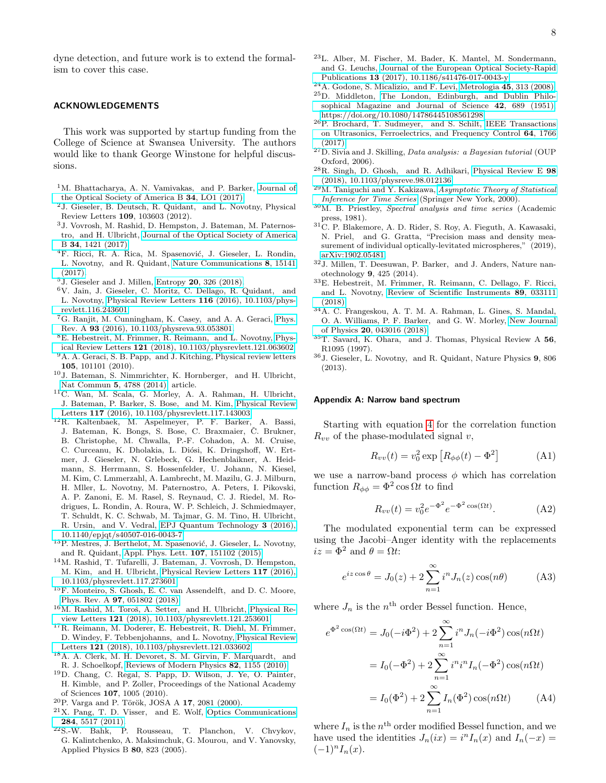dyne detection, and future work is to extend the formalism to cover this case.

#### ACKNOWLEDGEMENTS

This work was supported by startup funding from the College of Science at Swansea University. The authors would like to thank George Winstone for helpful discussions.

- <span id="page-7-0"></span><sup>1</sup>M. Bhattacharya, A. N. Vamivakas, and P. Barker, [Journal of](http://dx.doi.org/10.1364/josab.34.000lo1) [the Optical Society of America B](http://dx.doi.org/10.1364/josab.34.000lo1) 34, LO1 (2017).
- <span id="page-7-1"></span><sup>2</sup>J. Gieseler, B. Deutsch, R. Quidant, and L. Novotny, Physical Review Letters 109, 103603 (2012).
- <span id="page-7-2"></span><sup>3</sup>J. Vovrosh, M. Rashid, D. Hempston, J. Bateman, M. Paternostro, and H. Ulbricht, [Journal of the Optical Society of America](http://dx.doi.org/ 10.1364/josab.34.001421) B 34[, 1421 \(2017\).](http://dx.doi.org/ 10.1364/josab.34.001421)
- <span id="page-7-3"></span><sup>4</sup>F. Ricci, R. A. Rica, M. Spasenović, J. Gieseler, L. Rondin, L. Novotny, and R. Quidant, [Nature Communications](http://dx.doi.org/ 10.1038/ncomms15141) 8, 15141 [\(2017\).](http://dx.doi.org/ 10.1038/ncomms15141)
- <span id="page-7-4"></span> $5$ J. Gieseler and J. Millen, Entropy 20[, 326 \(2018\).](http://dx.doi.org/10.3390/e20050326)
- <span id="page-7-5"></span><sup>6</sup>V. Jain, J. Gieseler, C. Moritz, C. Dellago, R. Quidant, and L. Novotny, [Physical Review Letters](http://dx.doi.org/ 10.1103/physrevlett.116.243601) 116 (2016), 10.1103/phys[revlett.116.243601.](http://dx.doi.org/ 10.1103/physrevlett.116.243601)
- <span id="page-7-6"></span><sup>7</sup>G. Ranjit, M. Cunningham, K. Casey, and A. A. Geraci, [Phys.](http://dx.doi.org/ 10.1103/physreva.93.053801) Rev. A 93 [\(2016\), 10.1103/physreva.93.053801.](http://dx.doi.org/ 10.1103/physreva.93.053801)
- <span id="page-7-7"></span><sup>8</sup>E. Hebestreit, M. Frimmer, R. Reimann, and L. Novotny, [Phys](http://dx.doi.org/10.1103/physrevlett.121.063602)ical Review Letters 121 [\(2018\), 10.1103/physrevlett.121.063602.](http://dx.doi.org/10.1103/physrevlett.121.063602)
- <span id="page-7-8"></span> $^{9}{\rm A}$  . A. Geraci, S. B. Papp,  $% ^{9}{\rm A}$  and J. Kitching, Physical review letters 105, 101101 (2010).
- <sup>10</sup>J. Bateman, S. Nimmrichter, K. Hornberger, and H. Ulbricht, [Nat Commun](http://dx.doi.org/10.1038/ncomms5788) 5, 4788 (2014), article.
- <sup>11</sup>C. Wan, M. Scala, G. Morley, A. A. Rahman, H. Ulbricht, J. Bateman, P. Barker, S. Bose, and M. Kim, [Physical Review](http://dx.doi.org/10.1103/physrevlett.117.143003) Letters 117 [\(2016\), 10.1103/physrevlett.117.143003.](http://dx.doi.org/10.1103/physrevlett.117.143003)
- <span id="page-7-9"></span><sup>12</sup>R. Kaltenbaek, M. Aspelmeyer, P. F. Barker, A. Bassi, J. Bateman, K. Bongs, S. Bose, C. Braxmaier, Č. Brukner, B. Christophe, M. Chwalla, P.-F. Cohadon, A. M. Cruise, C. Curceanu, K. Dholakia, L. Diósi, K. Dringshoff, W. Ertmer, J. Gieseler, N. Grlebeck, G. Hechenblaikner, A. Heidmann, S. Herrmann, S. Hossenfelder, U. Johann, N. Kiesel, M. Kim, C. Lmmerzahl, A. Lambrecht, M. Mazilu, G. J. Milburn, H. Mller, L. Novotny, M. Paternostro, A. Peters, I. Pikovski, A. P. Zanoni, E. M. Rasel, S. Reynaud, C. J. Riedel, M. Rodrigues, L. Rondin, A. Roura, W. P. Schleich, J. Schmiedmayer, T. Schuldt, K. C. Schwab, M. Tajmar, G. M. Tino, H. Ulbricht, R. Ursin, and V. Vedral, [EPJ Quantum Technology](http://dx.doi.org/ 10.1140/epjqt/s40507-016-0043-7) 3 (2016), [10.1140/epjqt/s40507-016-0043-7.](http://dx.doi.org/ 10.1140/epjqt/s40507-016-0043-7)
- <span id="page-7-10"></span><sup>13</sup>P. Mestres, J. Berthelot, M. Spasenović, J. Gieseler, L. Novotny, and R. Quidant, [Appl. Phys. Lett.](http://dx.doi.org/ 10.1063/1.4933180) 107, 151102 (2015).
- <span id="page-7-11"></span><sup>14</sup>M. Rashid, T. Tufarelli, J. Bateman, J. Vovrosh, D. Hempston, M. Kim, and H. Ulbricht, [Physical Review Letters](http://dx.doi.org/ 10.1103/physrevlett.117.273601) 117 (2016), [10.1103/physrevlett.117.273601.](http://dx.doi.org/ 10.1103/physrevlett.117.273601)
- <span id="page-7-12"></span><sup>15</sup>F. Monteiro, S. Ghosh, E. C. van Assendelft, and D. C. Moore, Phys. Rev. A 97[, 051802 \(2018\).](http://dx.doi.org/10.1103/PhysRevA.97.051802)
- <sup>16</sup>M. Rashid, M. Toroš, A. Setter, and H. Ulbricht, [Physical Re](http://dx.doi.org/ 10.1103/physrevlett.121.253601)view Letters 121 [\(2018\), 10.1103/physrevlett.121.253601.](http://dx.doi.org/ 10.1103/physrevlett.121.253601)
- <span id="page-7-13"></span><sup>17</sup>R. Reimann, M. Doderer, E. Hebestreit, R. Diehl, M. Frimmer, D. Windey, F. Tebbenjohanns, and L. Novotny, [Physical Review](http://dx.doi.org/ 10.1103/physrevlett.121.033602) Letters 121 [\(2018\), 10.1103/physrevlett.121.033602.](http://dx.doi.org/ 10.1103/physrevlett.121.033602)
- <span id="page-7-14"></span><sup>18</sup>A. A. Clerk, M. H. Devoret, S. M. Girvin, F. Marquardt, and R. J. Schoelkopf, [Reviews of Modern Physics](http://dx.doi.org/10.1103/revmodphys.82.1155) 82, 1155 (2010).
- <span id="page-7-15"></span><sup>19</sup>D. Chang, C. Regal, S. Papp, D. Wilson, J. Ye, O. Painter, H. Kimble, and P. Zoller, Proceedings of the National Academy of Sciences 107, 1005 (2010).
- <span id="page-7-16"></span> $20P$ . Varga and P. Török, JOSA A 17, 2081 (2000).
- <span id="page-7-17"></span><sup>21</sup>X. Pang, T. D. Visser, and E. Wolf, [Optics Communications](http://dx.doi.org/10.1016/j.optcom.2011.08.021) 284[, 5517 \(2011\).](http://dx.doi.org/10.1016/j.optcom.2011.08.021)
- <span id="page-7-18"></span><sup>22</sup>S.-W. Bahk, P. Rousseau, T. Planchon, V. Chvykov, G. Kalintchenko, A. Maksimchuk, G. Mourou, and V. Yanovsky, Applied Physics B 80, 823 (2005).
- <span id="page-7-19"></span><sup>23</sup>L. Alber, M. Fischer, M. Bader, K. Mantel, M. Sondermann, and G. Leuchs, [Journal of the European Optical Society-Rapid](http://dx.doi.org/ 10.1186/s41476-017-0043-y) Publications 13 [\(2017\), 10.1186/s41476-017-0043-y.](http://dx.doi.org/ 10.1186/s41476-017-0043-y)
- <span id="page-7-21"></span><span id="page-7-20"></span><sup>24</sup>A. Godone, S. Micalizio, and F. Levi, Metrologia 45[, 313 \(2008\).](http://dx.doi.org/10.1088/0026-1394/45/3/008) <sup>25</sup>D. Middleton, [The London, Edinburgh, and Dublin Philo-](http://dx.doi.org/10.1080/14786445108561298)
- [sophical Magazine and Journal of Science](http://dx.doi.org/10.1080/14786445108561298) 42, 689 (1951), [https://doi.org/10.1080/14786445108561298.](http://arxiv.org/abs/https://doi.org/10.1080/14786445108561298)
- <span id="page-7-22"></span><sup>26</sup>P. Brochard, T. Sudmeyer, and S. Schilt, [IEEE Transactions](http://dx.doi.org/10.1109/tuffc.2017.2747620) [on Ultrasonics, Ferroelectrics, and Frequency Control](http://dx.doi.org/10.1109/tuffc.2017.2747620) 64, 1766 [\(2017\).](http://dx.doi.org/10.1109/tuffc.2017.2747620)
- <span id="page-7-24"></span> $^{27}$ D. Sivia and J. Skilling, *Data analysis: a Bayesian tutorial* (OUP Oxford, 2006).
- <span id="page-7-25"></span><sup>28</sup>R. Singh, D. Ghosh, and R. Adhikari, [Physical Review E](http://dx.doi.org/10.1103/physreve.98.012136) 98 [\(2018\), 10.1103/physreve.98.012136.](http://dx.doi.org/10.1103/physreve.98.012136)
- <span id="page-7-26"></span> $^{29}$ M. Taniguchi and Y. Kakizawa, [Asymptotic Theory of Statistical](http://dx.doi.org/10.1007/978-1-4612-1162-4) [Inference for Time Series](http://dx.doi.org/10.1007/978-1-4612-1162-4) (Springer New York, 2000).
- <span id="page-7-27"></span><sup>30</sup>M. B. Priestley, Spectral analysis and time series (Academic press, 1981).
- <span id="page-7-28"></span> $^{31}\mathrm{C}$ . P. Blakemore, A. D. Rider, S. Roy, A. Fieguth, A. Kawasaki, N. Priel, and G. Gratta, "Precision mass and density measurement of individual optically-levitated microspheres,"  $(2019)$ , [arXiv:1902.05481.](http://arxiv.org/abs/arXiv:1902.05481)
- <span id="page-7-29"></span><sup>32</sup>J. Millen, T. Deesuwan, P. Barker, and J. Anders, Nature nanotechnology 9, 425 (2014).
- <span id="page-7-30"></span><sup>33</sup>E. Hebestreit, M. Frimmer, R. Reimann, C. Dellago, F. Ricci, and L. Novotny, [Review of Scientific Instruments](http://dx.doi.org/ 10.1063/1.5017119) 89, 033111 [\(2018\).](http://dx.doi.org/ 10.1063/1.5017119)
- <span id="page-7-31"></span><sup>34</sup>A. C. Frangeskou, A. T. M. A. Rahman, L. Gines, S. Mandal, O. A. Williams, P. F. Barker, and G. W. Morley, [New Journal](http://dx.doi.org/ 10.1088/1367-2630/aab700) of Physics 20[, 043016 \(2018\).](http://dx.doi.org/ 10.1088/1367-2630/aab700)
- <span id="page-7-32"></span><sup>35</sup>T. Savard, K. Ohara, and J. Thomas, Physical Review A 56, R1095 (1997).
- <span id="page-7-33"></span><sup>36</sup>J. Gieseler, L. Novotny, and R. Quidant, Nature Physics 9, 806 (2013).

#### <span id="page-7-23"></span>Appendix A: Narrow band spectrum

Starting with equation [4](#page-2-2) for the correlation function  $R_{vv}$  of the phase-modulated signal v,

$$
R_{vv}(t) = v_0^2 \exp\left[R_{\phi\phi}(t) - \Phi^2\right]
$$
 (A1)

we use a narrow-band process  $\phi$  which has correlation function  $R_{\phi\phi} = \Phi^2 \cos \Omega t$  to find

$$
R_{vv}(t) = v_0^2 e^{-\Phi^2} e^{-\Phi^2 \cos(\Omega t)}.
$$
 (A2)

The modulated exponential term can be expressed using the Jacobi–Anger identity with the replacements  $iz = \Phi^2$  and  $\theta = \Omega t$ :

$$
e^{iz\cos\theta} = J_0(z) + 2\sum_{n=1}^{\infty} i^n J_n(z) \cos(n\theta)
$$
 (A3)

where  $J_n$  is the  $n^{\text{th}}$  order Bessel function. Hence,

$$
e^{\Phi^2 \cos(\Omega t)} = J_0(-i\Phi^2) + 2\sum_{n=1}^{\infty} i^n J_n(-i\Phi^2) \cos(n\Omega t)
$$

$$
= I_0(-\Phi^2) + 2\sum_{n=1}^{\infty} i^n i^n I_n(-\Phi^2) \cos(n\Omega t)
$$

$$
= I_0(\Phi^2) + 2\sum_{n=1}^{\infty} I_n(\Phi^2) \cos(n\Omega t) \qquad (A4)
$$

where  $I_n$  is the  $n<sup>th</sup>$  order modified Bessel function, and we have used the identities  $J_n(ix) = i^n I_n(x)$  and  $I_n(-x) =$  $(-1)^n I_n(x)$ .